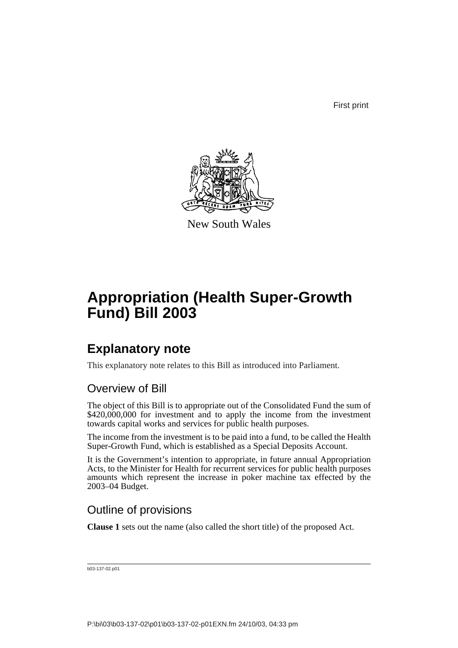First print



New South Wales

# **Appropriation (Health Super-Growth Fund) Bill 2003**

## **Explanatory note**

This explanatory note relates to this Bill as introduced into Parliament.

### Overview of Bill

The object of this Bill is to appropriate out of the Consolidated Fund the sum of \$420,000,000 for investment and to apply the income from the investment towards capital works and services for public health purposes.

The income from the investment is to be paid into a fund, to be called the Health Super-Growth Fund, which is established as a Special Deposits Account.

It is the Government's intention to appropriate, in future annual Appropriation Acts, to the Minister for Health for recurrent services for public health purposes amounts which represent the increase in poker machine tax effected by the 2003–04 Budget.

### Outline of provisions

**Clause 1** sets out the name (also called the short title) of the proposed Act.

b03-137-02.p01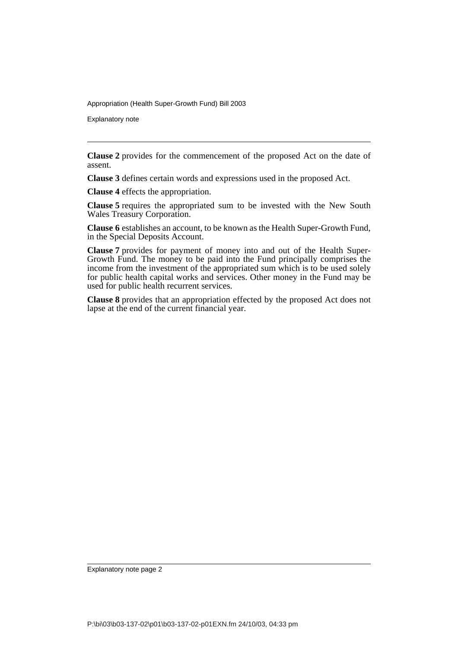Appropriation (Health Super-Growth Fund) Bill 2003

Explanatory note

**Clause 2** provides for the commencement of the proposed Act on the date of assent.

**Clause 3** defines certain words and expressions used in the proposed Act.

**Clause 4** effects the appropriation.

**Clause 5** requires the appropriated sum to be invested with the New South Wales Treasury Corporation.

**Clause 6** establishes an account, to be known as the Health Super-Growth Fund, in the Special Deposits Account.

**Clause 7** provides for payment of money into and out of the Health Super-Growth Fund. The money to be paid into the Fund principally comprises the income from the investment of the appropriated sum which is to be used solely for public health capital works and services. Other money in the Fund may be used for public health recurrent services.

**Clause 8** provides that an appropriation effected by the proposed Act does not lapse at the end of the current financial year.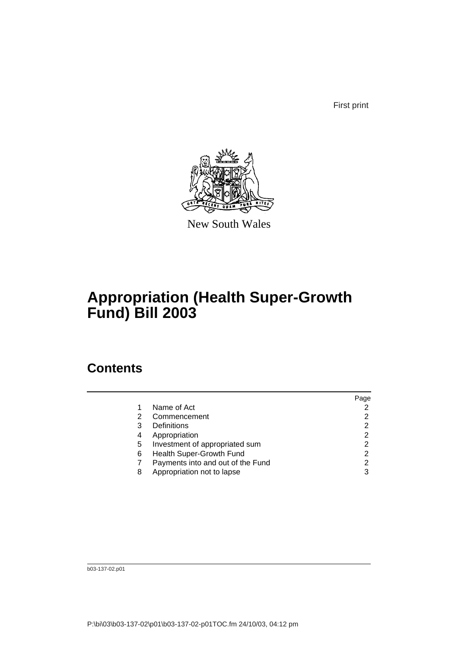First print



New South Wales

# **Appropriation (Health Super-Growth Fund) Bill 2003**

## **Contents**

|   |                                   | Page |
|---|-----------------------------------|------|
|   | Name of Act                       |      |
| 2 | Commencement                      |      |
| 3 | Definitions                       |      |
| 4 | Appropriation                     |      |
| 5 | Investment of appropriated sum    |      |
| 6 | Health Super-Growth Fund          |      |
|   | Payments into and out of the Fund |      |
| 8 | Appropriation not to lapse        | 3    |
|   |                                   |      |

b03-137-02.p01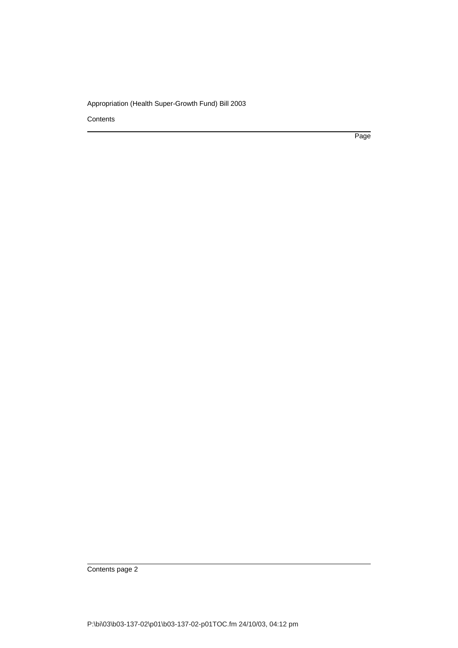#### Appropriation (Health Super-Growth Fund) Bill 2003

**Contents** 

Page

Contents page 2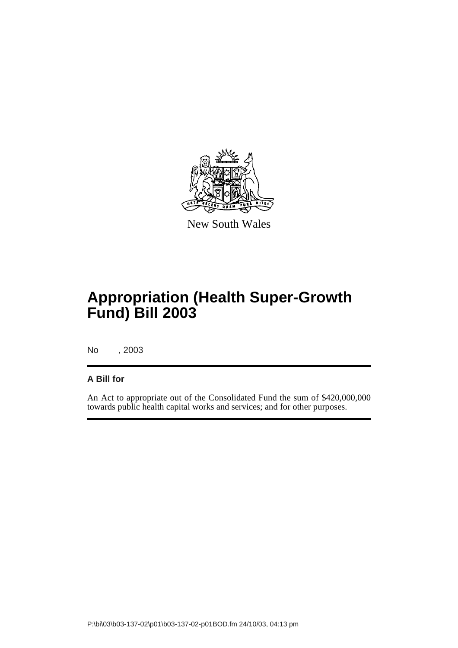

New South Wales

# **Appropriation (Health Super-Growth Fund) Bill 2003**

No , 2003

#### **A Bill for**

An Act to appropriate out of the Consolidated Fund the sum of \$420,000,000 towards public health capital works and services; and for other purposes.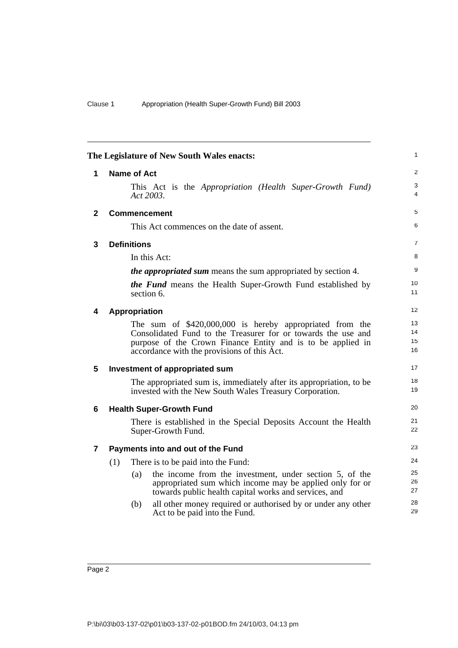<span id="page-5-6"></span><span id="page-5-5"></span><span id="page-5-4"></span><span id="page-5-3"></span><span id="page-5-2"></span><span id="page-5-1"></span><span id="page-5-0"></span>

| The Legislature of New South Wales enacts: |                     |                                                                                                                                                                                                                                          | $\mathbf{1}$         |
|--------------------------------------------|---------------------|------------------------------------------------------------------------------------------------------------------------------------------------------------------------------------------------------------------------------------------|----------------------|
| 1                                          | <b>Name of Act</b>  |                                                                                                                                                                                                                                          |                      |
|                                            |                     | This Act is the Appropriation (Health Super-Growth Fund)<br>Act 2003.                                                                                                                                                                    | 3<br>4               |
| $\mathbf{2}$                               | <b>Commencement</b> |                                                                                                                                                                                                                                          | 5                    |
|                                            |                     | This Act commences on the date of assent.                                                                                                                                                                                                | 6                    |
| 3                                          | <b>Definitions</b>  |                                                                                                                                                                                                                                          | $\overline{7}$       |
|                                            |                     | In this Act:                                                                                                                                                                                                                             | 8                    |
|                                            |                     | <i>the appropriated sum</i> means the sum appropriated by section 4.                                                                                                                                                                     | 9                    |
|                                            |                     | <i>the Fund</i> means the Health Super-Growth Fund established by<br>section 6.                                                                                                                                                          | 10<br>11             |
| 4                                          | Appropriation       |                                                                                                                                                                                                                                          | 12                   |
|                                            |                     | The sum of $$420,000,000$ is hereby appropriated from the<br>Consolidated Fund to the Treasurer for or towards the use and<br>purpose of the Crown Finance Entity and is to be applied in<br>accordance with the provisions of this Act. | 13<br>14<br>15<br>16 |
| 5                                          |                     | Investment of appropriated sum                                                                                                                                                                                                           | 17                   |
|                                            |                     | The appropriated sum is, immediately after its appropriation, to be<br>invested with the New South Wales Treasury Corporation.                                                                                                           | 18<br>19             |
| 6                                          |                     | <b>Health Super-Growth Fund</b>                                                                                                                                                                                                          | 20                   |
|                                            |                     | There is established in the Special Deposits Account the Health<br>Super-Growth Fund.                                                                                                                                                    | 21<br>22             |
| 7                                          |                     | Payments into and out of the Fund                                                                                                                                                                                                        | 23                   |
|                                            | (1)                 | There is to be paid into the Fund:                                                                                                                                                                                                       | 24                   |
|                                            | (a)                 | the income from the investment, under section 5, of the<br>appropriated sum which income may be applied only for or<br>towards public health capital works and services, and                                                             | 25<br>26<br>27       |
|                                            | (b)                 | all other money required or authorised by or under any other<br>Act to be paid into the Fund.                                                                                                                                            | 28<br>29             |